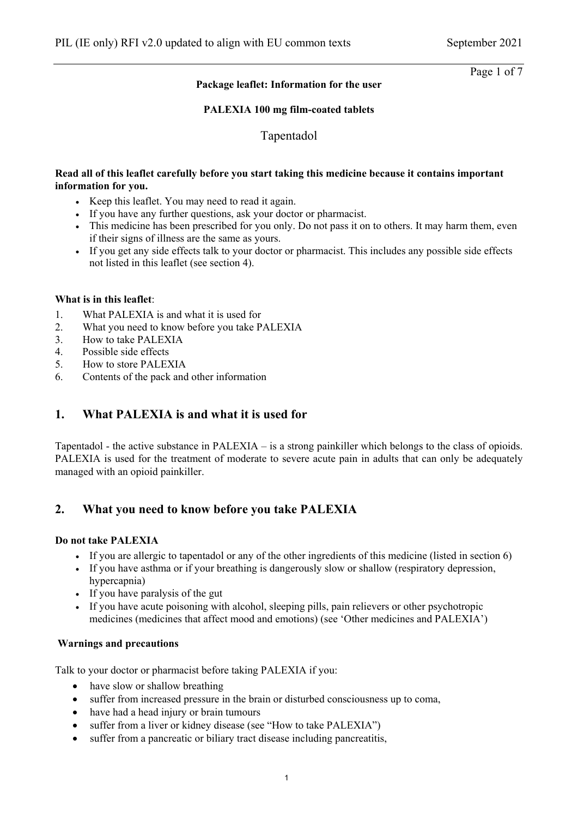Page 1 of 7

## **Package leaflet: Information for the user**

## **PALEXIA 100 mg film-coated tablets**

Tapentadol

## **Read all of this leaflet carefully before you start taking this medicine because it contains important information for you.**

- Keep this leaflet. You may need to read it again.
- If you have any further questions, ask your doctor or pharmacist.
- This medicine has been prescribed for you only. Do not pass it on to others. It may harm them, even if their signs of illness are the same as yours.
- If you get any side effects talk to your doctor or pharmacist. This includes any possible side effects not listed in this leaflet (see section 4).

## **What is in this leaflet**:

- 1. What PALEXIA is and what it is used for
- 2. What you need to know before you take PALEXIA
- 3. How to take PALEXIA
- 4. Possible side effects
- 5. How to store PALEXIA
- 6. Contents of the pack and other information

# **1. What PALEXIA is and what it is used for**

Tapentadol - the active substance in PALEXIA – is a strong painkiller which belongs to the class of opioids. PALEXIA is used for the treatment of moderate to severe acute pain in adults that can only be adequately managed with an opioid painkiller.

# **2. What you need to know before you take PALEXIA**

## **Do not take PALEXIA**

- If you are allergic to tapentadol or any of the other ingredients of this medicine (listed in section  $6$ )
- If you have asthma or if your breathing is dangerously slow or shallow (respiratory depression, hypercapnia)
- If you have paralysis of the gut
- If you have acute poisoning with alcohol, sleeping pills, pain relievers or other psychotropic medicines (medicines that affect mood and emotions) (see 'Other medicines and PALEXIA')

## **Warnings and precautions**

Talk to your doctor or pharmacist before taking PALEXIA if you:

- have slow or shallow breathing
- suffer from increased pressure in the brain or disturbed consciousness up to coma,
- have had a head injury or brain tumours
- suffer from a liver or kidney disease (see "How to take PALEXIA")
- suffer from a pancreatic or biliary tract disease including pancreatitis,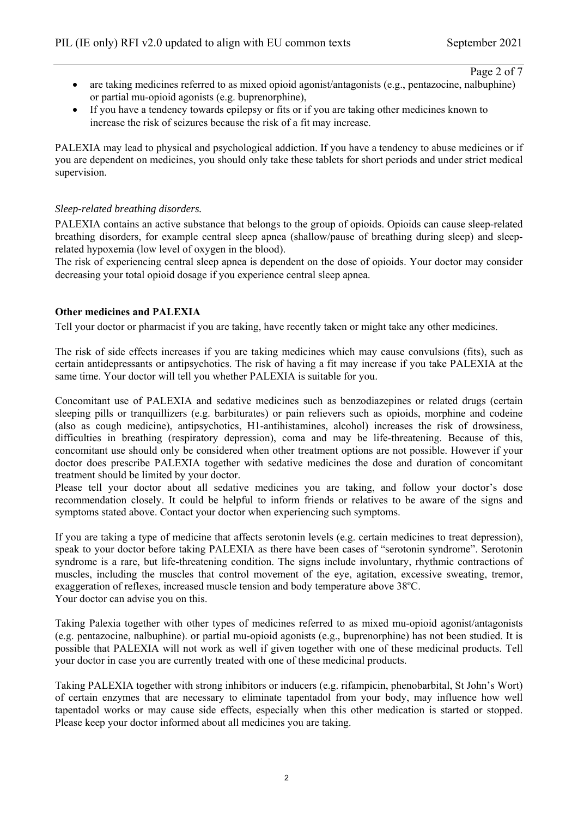Page 2 of 7

- are taking medicines referred to as mixed opioid agonist/antagonists (e.g., pentazocine, nalbuphine) or partial mu-opioid agonists (e.g. buprenorphine),
- If you have a tendency towards epilepsy or fits or if you are taking other medicines known to increase the risk of seizures because the risk of a fit may increase.

PALEXIA may lead to physical and psychological addiction. If you have a tendency to abuse medicines or if you are dependent on medicines, you should only take these tablets for short periods and under strict medical supervision.

## *Sleep-related breathing disorders.*

PALEXIA contains an active substance that belongs to the group of opioids. Opioids can cause sleep-related breathing disorders, for example central sleep apnea (shallow/pause of breathing during sleep) and sleeprelated hypoxemia (low level of oxygen in the blood).

The risk of experiencing central sleep apnea is dependent on the dose of opioids. Your doctor may consider decreasing your total opioid dosage if you experience central sleep apnea.

#### **Other medicines and PALEXIA**

Tell your doctor or pharmacist if you are taking, have recently taken or might take any other medicines.

The risk of side effects increases if you are taking medicines which may cause convulsions (fits), such as certain antidepressants or antipsychotics. The risk of having a fit may increase if you take PALEXIA at the same time. Your doctor will tell you whether PALEXIA is suitable for you.

Concomitant use of PALEXIA and sedative medicines such as benzodiazepines or related drugs (certain sleeping pills or tranquillizers (e.g. barbiturates) or pain relievers such as opioids, morphine and codeine (also as cough medicine), antipsychotics, H1-antihistamines, alcohol) increases the risk of drowsiness, difficulties in breathing (respiratory depression), coma and may be life-threatening. Because of this, concomitant use should only be considered when other treatment options are not possible. However if your doctor does prescribe PALEXIA together with sedative medicines the dose and duration of concomitant treatment should be limited by your doctor.

Please tell your doctor about all sedative medicines you are taking, and follow your doctor's dose recommendation closely. It could be helpful to inform friends or relatives to be aware of the signs and symptoms stated above. Contact your doctor when experiencing such symptoms.

If you are taking a type of medicine that affects serotonin levels (e.g. certain medicines to treat depression), speak to your doctor before taking PALEXIA as there have been cases of "serotonin syndrome". Serotonin syndrome is a rare, but life-threatening condition. The signs include involuntary, rhythmic contractions of muscles, including the muscles that control movement of the eye, agitation, excessive sweating, tremor, exaggeration of reflexes, increased muscle tension and body temperature above 38°C. Your doctor can advise you on this.

Taking Palexia together with other types of medicines referred to as mixed mu-opioid agonist/antagonists (e.g. pentazocine, nalbuphine). or partial mu-opioid agonists (e.g., buprenorphine) has not been studied. It is possible that PALEXIA will not work as well if given together with one of these medicinal products. Tell your doctor in case you are currently treated with one of these medicinal products.

Taking PALEXIA together with strong inhibitors or inducers (e.g. rifampicin, phenobarbital, St John's Wort) of certain enzymes that are necessary to eliminate tapentadol from your body, may influence how well tapentadol works or may cause side effects, especially when this other medication is started or stopped. Please keep your doctor informed about all medicines you are taking.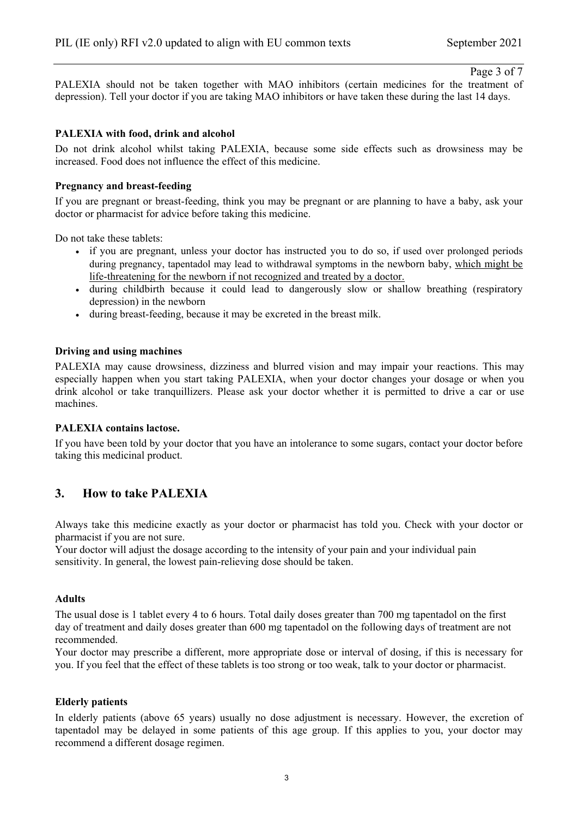#### Page 3 of 7

PALEXIA should not be taken together with MAO inhibitors (certain medicines for the treatment of depression). Tell your doctor if you are taking MAO inhibitors or have taken these during the last 14 days.

#### **PALEXIA with food, drink and alcohol**

Do not drink alcohol whilst taking PALEXIA, because some side effects such as drowsiness may be increased. Food does not influence the effect of this medicine.

### **Pregnancy and breast-feeding**

If you are pregnant or breast-feeding, think you may be pregnant or are planning to have a baby, ask your doctor or pharmacist for advice before taking this medicine.

Do not take these tablets:

- if you are pregnant, unless your doctor has instructed you to do so, if used over prolonged periods during pregnancy, tapentadol may lead to withdrawal symptoms in the newborn baby, which might be life-threatening for the newborn if not recognized and treated by a doctor.
- during childbirth because it could lead to dangerously slow or shallow breathing (respiratory depression) in the newborn
- during breast-feeding, because it may be excreted in the breast milk.

#### **Driving and using machines**

PALEXIA may cause drowsiness, dizziness and blurred vision and may impair your reactions. This may especially happen when you start taking PALEXIA, when your doctor changes your dosage or when you drink alcohol or take tranquillizers. Please ask your doctor whether it is permitted to drive a car or use machines.

#### **PALEXIA contains lactose.**

If you have been told by your doctor that you have an intolerance to some sugars, contact your doctor before taking this medicinal product.

## **3. How to take PALEXIA**

Always take this medicine exactly as your doctor or pharmacist has told you. Check with your doctor or pharmacist if you are not sure.

Your doctor will adjust the dosage according to the intensity of your pain and your individual pain sensitivity. In general, the lowest pain-relieving dose should be taken.

#### **Adults**

The usual dose is 1 tablet every 4 to 6 hours. Total daily doses greater than 700 mg tapentadol on the first day of treatment and daily doses greater than 600 mg tapentadol on the following days of treatment are not recommended.

Your doctor may prescribe a different, more appropriate dose or interval of dosing, if this is necessary for you. If you feel that the effect of these tablets is too strong or too weak, talk to your doctor or pharmacist.

#### **Elderly patients**

In elderly patients (above 65 years) usually no dose adjustment is necessary. However, the excretion of tapentadol may be delayed in some patients of this age group. If this applies to you, your doctor may recommend a different dosage regimen.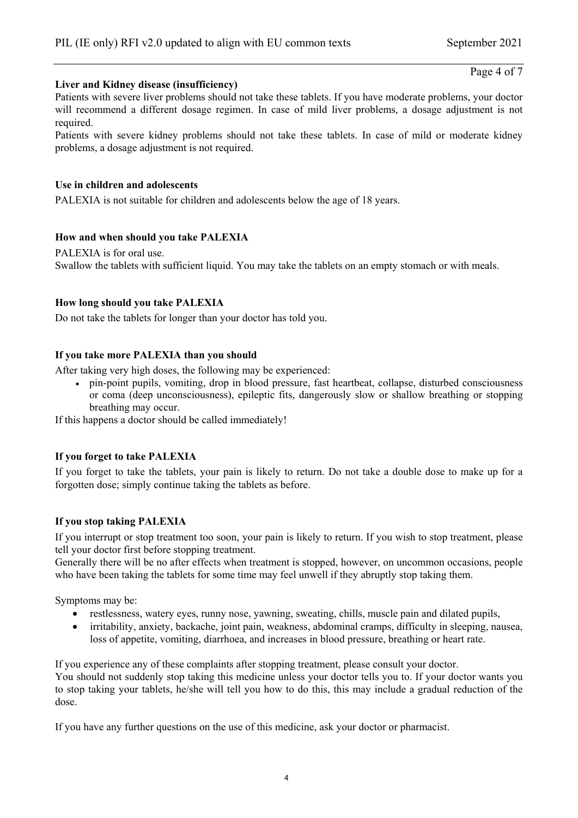Page 4 of 7

## **Liver and Kidney disease (insufficiency)**

Patients with severe liver problems should not take these tablets. If you have moderate problems, your doctor will recommend a different dosage regimen. In case of mild liver problems, a dosage adjustment is not required.

Patients with severe kidney problems should not take these tablets. In case of mild or moderate kidney problems, a dosage adjustment is not required.

## **Use in children and adolescents**

PALEXIA is not suitable for children and adolescents below the age of 18 years.

## **How and when should you take PALEXIA**

PALEXIA is for oral use. Swallow the tablets with sufficient liquid. You may take the tablets on an empty stomach or with meals.

## **How long should you take PALEXIA**

Do not take the tablets for longer than your doctor has told you.

## **If you take more PALEXIA than you should**

After taking very high doses, the following may be experienced:

 pin-point pupils, vomiting, drop in blood pressure, fast heartbeat, collapse, disturbed consciousness or coma (deep unconsciousness), epileptic fits, dangerously slow or shallow breathing or stopping breathing may occur.

If this happens a doctor should be called immediately!

## **If you forget to take PALEXIA**

If you forget to take the tablets, your pain is likely to return. Do not take a double dose to make up for a forgotten dose; simply continue taking the tablets as before.

#### **If you stop taking PALEXIA**

If you interrupt or stop treatment too soon, your pain is likely to return. If you wish to stop treatment, please tell your doctor first before stopping treatment.

Generally there will be no after effects when treatment is stopped, however, on uncommon occasions, people who have been taking the tablets for some time may feel unwell if they abruptly stop taking them.

Symptoms may be:

- restlessness, watery eyes, runny nose, yawning, sweating, chills, muscle pain and dilated pupils,
- irritability, anxiety, backache, joint pain, weakness, abdominal cramps, difficulty in sleeping, nausea, loss of appetite, vomiting, diarrhoea, and increases in blood pressure, breathing or heart rate.

If you experience any of these complaints after stopping treatment, please consult your doctor. You should not suddenly stop taking this medicine unless your doctor tells you to. If your doctor wants you to stop taking your tablets, he/she will tell you how to do this, this may include a gradual reduction of the dose.

If you have any further questions on the use of this medicine, ask your doctor or pharmacist.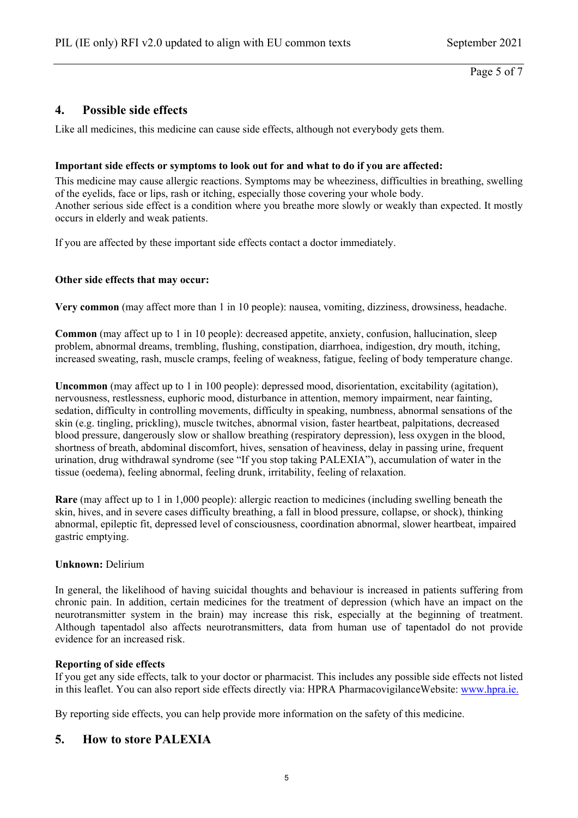# **4. Possible side effects**

Like all medicines, this medicine can cause side effects, although not everybody gets them.

## **Important side effects or symptoms to look out for and what to do if you are affected:**

This medicine may cause allergic reactions. Symptoms may be wheeziness, difficulties in breathing, swelling of the eyelids, face or lips, rash or itching, especially those covering your whole body. Another serious side effect is a condition where you breathe more slowly or weakly than expected. It mostly occurs in elderly and weak patients.

If you are affected by these important side effects contact a doctor immediately.

## **Other side effects that may occur:**

**Very common** (may affect more than 1 in 10 people): nausea, vomiting, dizziness, drowsiness, headache.

**Common** (may affect up to 1 in 10 people): decreased appetite, anxiety, confusion, hallucination, sleep problem, abnormal dreams, trembling, flushing, constipation, diarrhoea, indigestion, dry mouth, itching, increased sweating, rash, muscle cramps, feeling of weakness, fatigue, feeling of body temperature change.

**Uncommon** (may affect up to 1 in 100 people): depressed mood, disorientation, excitability (agitation), nervousness, restlessness, euphoric mood, disturbance in attention, memory impairment, near fainting, sedation, difficulty in controlling movements, difficulty in speaking, numbness, abnormal sensations of the skin (e.g. tingling, prickling), muscle twitches, abnormal vision, faster heartbeat, palpitations, decreased blood pressure, dangerously slow or shallow breathing (respiratory depression), less oxygen in the blood, shortness of breath, abdominal discomfort, hives, sensation of heaviness, delay in passing urine, frequent urination, drug withdrawal syndrome (see "If you stop taking PALEXIA"), accumulation of water in the tissue (oedema), feeling abnormal, feeling drunk, irritability, feeling of relaxation.

**Rare** (may affect up to 1 in 1,000 people): allergic reaction to medicines (including swelling beneath the skin, hives, and in severe cases difficulty breathing, a fall in blood pressure, collapse, or shock), thinking abnormal, epileptic fit, depressed level of consciousness, coordination abnormal, slower heartbeat, impaired gastric emptying.

## **Unknown:** Delirium

In general, the likelihood of having suicidal thoughts and behaviour is increased in patients suffering from chronic pain. In addition, certain medicines for the treatment of depression (which have an impact on the neurotransmitter system in the brain) may increase this risk, especially at the beginning of treatment. Although tapentadol also affects neurotransmitters, data from human use of tapentadol do not provide evidence for an increased risk.

#### **Reporting of side effects**

If you get any side effects, talk to your doctor or pharmacist. This includes any possible side effects not listed in this leaflet. You can also report side effects directly via: HPRA PharmacovigilanceWebsite: www.hpra.ie.

By reporting side effects, you can help provide more information on the safety of this medicine.

# **5. How to store PALEXIA**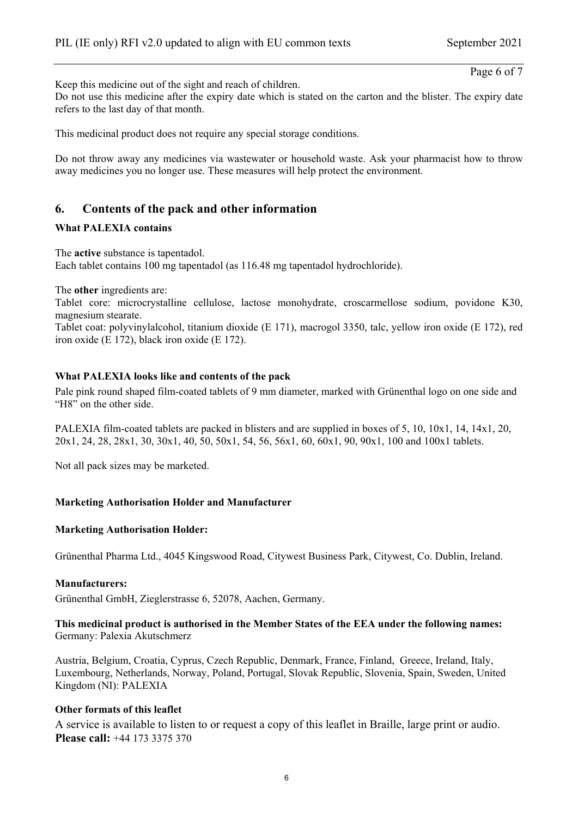Page 6 of 7

Keep this medicine out of the sight and reach of children.

Do not use this medicine after the expiry date which is stated on the carton and the blister. The expiry date refers to the last day of that month.

This medicinal product does not require any special storage conditions.

Do not throw away any medicines via wastewater or household waste. Ask your pharmacist how to throw away medicines you no longer use. These measures will help protect the environment.

# **6. Contents of the pack and other information**

#### **What PALEXIA contains**

The **active** substance is tapentadol. Each tablet contains 100 mg tapentadol (as 116.48 mg tapentadol hydrochloride).

The **other** ingredients are:

Tablet core: microcrystalline cellulose, lactose monohydrate, croscarmellose sodium, povidone K30, magnesium stearate.

Tablet coat: polyvinylalcohol, titanium dioxide (E 171), macrogol 3350, talc, yellow iron oxide (E 172), red iron oxide (E 172), black iron oxide (E 172).

#### **What PALEXIA looks like and contents of the pack**

Pale pink round shaped film-coated tablets of 9 mm diameter, marked with Grünenthal logo on one side and "H8" on the other side.

PALEXIA film-coated tablets are packed in blisters and are supplied in boxes of 5, 10, 10x1, 14, 14x1, 20, 20x1, 24, 28, 28x1, 30, 30x1, 40, 50, 50x1, 54, 56, 56x1, 60, 60x1, 90, 90x1, 100 and 100x1 tablets.

Not all pack sizes may be marketed.

#### **Marketing Authorisation Holder and Manufacturer**

#### **Marketing Authorisation Holder:**

Grünenthal Pharma Ltd., 4045 Kingswood Road, Citywest Business Park, Citywest, Co. Dublin, Ireland.

#### **Manufacturers:**

Grünenthal GmbH, Zieglerstrasse 6, 52078, Aachen, Germany.

**This medicinal product is authorised in the Member States of the EEA under the following names:**  Germany: Palexia Akutschmerz

Austria, Belgium, Croatia, Cyprus, Czech Republic, Denmark, France, Finland, Greece, Ireland, Italy, Luxembourg, Netherlands, Norway, Poland, Portugal, Slovak Republic, Slovenia, Spain, Sweden, United Kingdom (NI): PALEXIA

#### **Other formats of this leaflet**

A service is available to listen to or request a copy of this leaflet in Braille, large print or audio. **Please call:** +44 173 3375 370